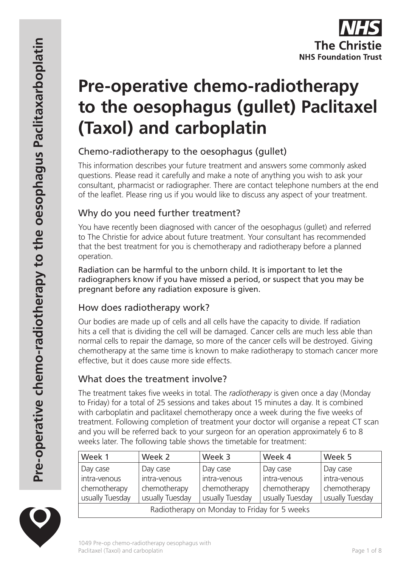

# **Pre-operative chemo-radiotherapy to the oesophagus (gullet) Paclitaxel (Taxol) and carboplatin**

# Chemo-radiotherapy to the oesophagus (gullet)

This information describes your future treatment and answers some commonly asked questions. Please read it carefully and make a note of anything you wish to ask your consultant, pharmacist or radiographer. There are contact telephone numbers at the end of the leaflet. Please ring us if you would like to discuss any aspect of your treatment.

# Why do you need further treatment?

You have recently been diagnosed with cancer of the oesophagus (gullet) and referred to The Christie for advice about future treatment. Your consultant has recommended that the best treatment for you is chemotherapy and radiotherapy before a planned operation.

Radiation can be harmful to the unborn child. It is important to let the radiographers know if you have missed a period, or suspect that you may be pregnant before any radiation exposure is given.

# How does radiotherapy work?

Our bodies are made up of cells and all cells have the capacity to divide. If radiation hits a cell that is dividing the cell will be damaged. Cancer cells are much less able than normal cells to repair the damage, so more of the cancer cells will be destroyed. Giving chemotherapy at the same time is known to make radiotherapy to stomach cancer more effective, but it does cause more side effects.

# What does the treatment involve?

The treatment takes five weeks in total. The *radiotherapy* is given once a day (Monday to Friday) for a total of 25 sessions and takes about 15 minutes a day. It is combined with carboplatin and paclitaxel chemotherapy once a week during the five weeks of treatment. Following completion of treatment your doctor will organise a repeat CT scan and you will be referred back to your surgeon for an operation approximately 6 to 8 weeks later. The following table shows the timetable for treatment:

| Week 1                                       | Week 2          | Week 3          | Week 4          | Week 5          |  |
|----------------------------------------------|-----------------|-----------------|-----------------|-----------------|--|
| Day case                                     | Day case        | Day case        | Day case        | Day case        |  |
| intra-venous                                 | intra-venous    | intra-venous    | intra-venous    | intra-venous    |  |
| chemotherapy                                 | chemotherapy    | chemotherapy    | chemotherapy    | chemotherapy    |  |
| usually Tuesday                              | usually Tuesday | usually Tuesday | usually Tuesday | usually Tuesday |  |
| Radiotherapy on Monday to Friday for 5 weeks |                 |                 |                 |                 |  |

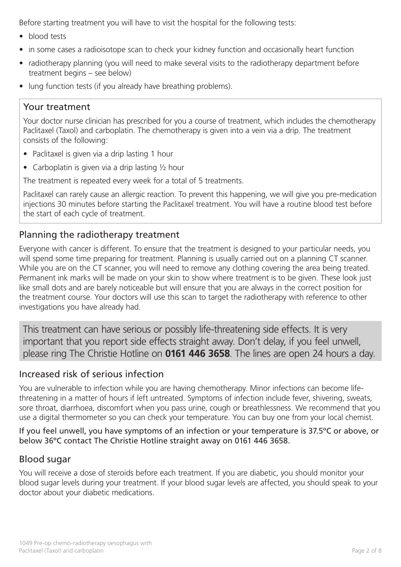Before starting treatment you will have to visit the hospital for the following tests:

- blood tests
- in some cases a radioisotope scan to check your kidney function and occasionally heart function
- radiotherapy planning (you will need to make several visits to the radiotherapy department before treatment begins – see below)
- lung function tests (if you already have breathing problems).

## Your treatment

Your doctor nurse clinician has prescribed for you a course of treatment, which includes the chemotherapy Paclitaxel (Taxol) and carboplatin. The chemotherapy is given into a vein via a drip. The treatment consists of the following:

- Paclitaxel is given via a drip lasting 1 hour
- Carboplatin is given via a drip lasting 1/2 hour

The treatment is repeated every week for a total of 5 treatments.

Paclitaxel can rarely cause an allergic reaction. To prevent this happening, we will give you pre-medication injections 30 minutes before starting the Paclitaxel treatment. You will have a routine blood test before the start of each cycle of treatment.

# Planning the radiotherapy treatment

Everyone with cancer is different. To ensure that the treatment is designed to your particular needs, you will spend some time preparing for treatment. Planning is usually carried out on a planning CT scanner. While you are on the CT scanner, you will need to remove any clothing covering the area being treated. Permanent ink marks will be made on your skin to show where treatment is to be given. These look just like small dots and are barely noticeable but will ensure that you are always in the correct position for the treatment course. Your doctors will use this scan to target the radiotherapy with reference to other investigations you have already had.

This treatment can have serious or possibly life-threatening side effects. It is very important that you report side effects straight away. Don't delay, if you feel unwell, please ring The Christie Hotline on **0161 446 3658**. The lines are open 24 hours a day.

# Increased risk of serious infection

You are vulnerable to infection while you are having chemotherapy. Minor infections can become lifethreatening in a matter of hours if left untreated. Symptoms of infection include fever, shivering, sweats, sore throat, diarrhoea, discomfort when you pass urine, cough or breathlessness. We recommend that you use a digital thermometer so you can check your temperature. You can buy one from your local chemist.

If you feel unwell, you have symptoms of an infection or your temperature is 37.5ºC or above, or below 36ºC contact The Christie Hotline straight away on 0161 446 3658.

# Blood sugar

You will receive a dose of steroids before each treatment. If you are diabetic, you should monitor your blood sugar levels during your treatment. If your blood sugar levels are affected, you should speak to your doctor about your diabetic medications.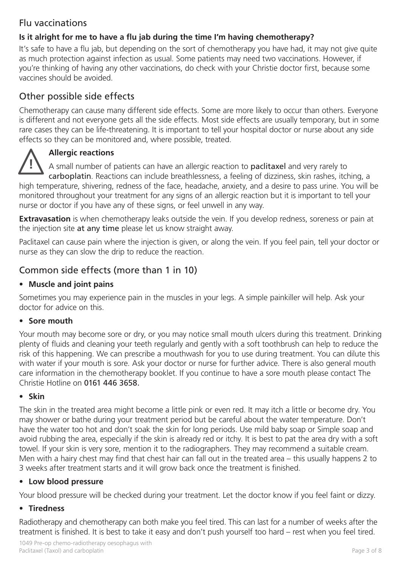# Flu vaccinations

# **Is it alright for me to have a flu jab during the time I'm having chemotherapy?**

It's safe to have a flu jab, but depending on the sort of chemotherapy you have had, it may not give quite as much protection against infection as usual. Some patients may need two vaccinations. However, if you're thinking of having any other vaccinations, do check with your Christie doctor first, because some vaccines should be avoided.

# Other possible side effects

Chemotherapy can cause many different side effects. Some are more likely to occur than others. Everyone is different and not everyone gets all the side effects. Most side effects are usually temporary, but in some rare cases they can be life-threatening. It is important to tell your hospital doctor or nurse about any side effects so they can be monitored and, where possible, treated.

# **Allergic reactions**

**!** A small number of patients can have an allergic reaction to paclitaxel and very rarely to carboplatin. Reactions can include breathlessness, a feeling of dizziness, skin rashes, itching, a high temperature, shivering, redness of the face, headache, anxiety, and a desire to pass urine. You will be monitored throughout your treatment for any signs of an allergic reaction but it is important to tell your nurse or doctor if you have any of these signs, or feel unwell in any way.

**Extravasation** is when chemotherapy leaks outside the vein. If you develop redness, soreness or pain at the injection site at any time please let us know straight away.

Paclitaxel can cause pain where the injection is given, or along the vein. If you feel pain, tell your doctor or nurse as they can slow the drip to reduce the reaction.

# Common side effects (more than 1 in 10)

## • **Muscle and joint pains**

Sometimes you may experience pain in the muscles in your legs. A simple painkiller will help. Ask your doctor for advice on this.

## • **Sore mouth**

Your mouth may become sore or dry, or you may notice small mouth ulcers during this treatment. Drinking plenty of fluids and cleaning your teeth regularly and gently with a soft toothbrush can help to reduce the risk of this happening. We can prescribe a mouthwash for you to use during treatment. You can dilute this with water if your mouth is sore. Ask your doctor or nurse for further advice. There is also general mouth care information in the chemotherapy booklet. If you continue to have a sore mouth please contact The Christie Hotline on 0161 446 3658.

#### • **Skin**

The skin in the treated area might become a little pink or even red. It may itch a little or become dry. You may shower or bathe during your treatment period but be careful about the water temperature. Don't have the water too hot and don't soak the skin for long periods. Use mild baby soap or Simple soap and avoid rubbing the area, especially if the skin is already red or itchy. It is best to pat the area dry with a soft towel. If your skin is very sore, mention it to the radiographers. They may recommend a suitable cream. Men with a hairy chest may find that chest hair can fall out in the treated area – this usually happens 2 to 3 weeks after treatment starts and it will grow back once the treatment is finished.

#### • **Low blood pressure**

Your blood pressure will be checked during your treatment. Let the doctor know if you feel faint or dizzy.

#### • **Tiredness**

Radiotherapy and chemotherapy can both make you feel tired. This can last for a number of weeks after the treatment is finished. It is best to take it easy and don't push yourself too hard – rest when you feel tired.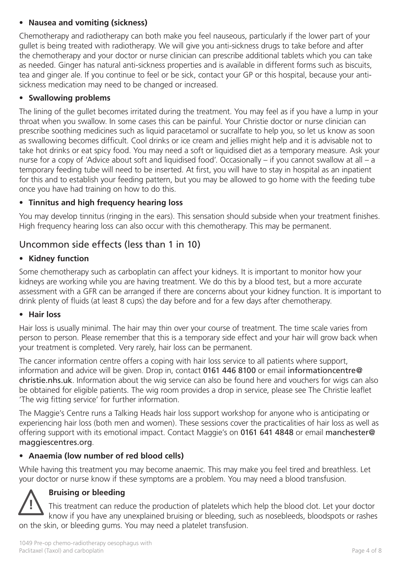#### • **Nausea and vomiting (sickness)**

Chemotherapy and radiotherapy can both make you feel nauseous, particularly if the lower part of your gullet is being treated with radiotherapy. We will give you anti-sickness drugs to take before and after the chemotherapy and your doctor or nurse clinician can prescribe additional tablets which you can take as needed. Ginger has natural anti-sickness properties and is available in different forms such as biscuits, tea and ginger ale. If you continue to feel or be sick, contact your GP or this hospital, because your antisickness medication may need to be changed or increased.

## • **Swallowing problems**

The lining of the gullet becomes irritated during the treatment. You may feel as if you have a lump in your throat when you swallow. In some cases this can be painful. Your Christie doctor or nurse clinician can prescribe soothing medicines such as liquid paracetamol or sucralfate to help you, so let us know as soon as swallowing becomes difficult. Cool drinks or ice cream and jellies might help and it is advisable not to take hot drinks or eat spicy food. You may need a soft or liquidised diet as a temporary measure. Ask your nurse for a copy of 'Advice about soft and liquidised food'. Occasionally – if you cannot swallow at all – a temporary feeding tube will need to be inserted. At first, you will have to stay in hospital as an inpatient for this and to establish your feeding pattern, but you may be allowed to go home with the feeding tube once you have had training on how to do this.

## • **Tinnitus and high frequency hearing loss**

You may develop tinnitus (ringing in the ears). This sensation should subside when your treatment finishes. High frequency hearing loss can also occur with this chemotherapy. This may be permanent.

# Uncommon side effects (less than 1 in 10)

## • **Kidney function**

Some chemotherapy such as carboplatin can affect your kidneys. It is important to monitor how your kidneys are working while you are having treatment. We do this by a blood test, but a more accurate assessment with a GFR can be arranged if there are concerns about your kidney function. It is important to drink plenty of fluids (at least 8 cups) the day before and for a few days after chemotherapy.

## • **Hair loss**

Hair loss is usually minimal. The hair may thin over your course of treatment. The time scale varies from person to person. Please remember that this is a temporary side effect and your hair will grow back when your treatment is completed. Very rarely, hair loss can be permanent.

The cancer information centre offers a coping with hair loss service to all patients where support, information and advice will be given. Drop in, contact 0161 446 8100 or email informationcentre@ christie.nhs.uk. Information about the wig service can also be found here and vouchers for wigs can also be obtained for eligible patients. The wig room provides a drop in service, please see The Christie leaflet 'The wig fitting service' for further information.

The Maggie's Centre runs a Talking Heads hair loss support workshop for anyone who is anticipating or experiencing hair loss (both men and women). These sessions cover the practicalities of hair loss as well as offering support with its emotional impact. Contact Maggie's on 0161 641 4848 or email manchester@ maggiescentres.org.

## • **Anaemia (low number of red blood cells)**

While having this treatment you may become anaemic. This may make you feel tired and breathless. Let your doctor or nurse know if these symptoms are a problem. You may need a blood transfusion.

# **Bruising or bleeding**

**!** This treatment can reduce the production of platelets which help the blood clot. Let your doctor know if you have any unexplained bruising or bleeding, such as nosebleeds, bloodspots or rashes on the skin, or bleeding gums. You may need a platelet transfusion.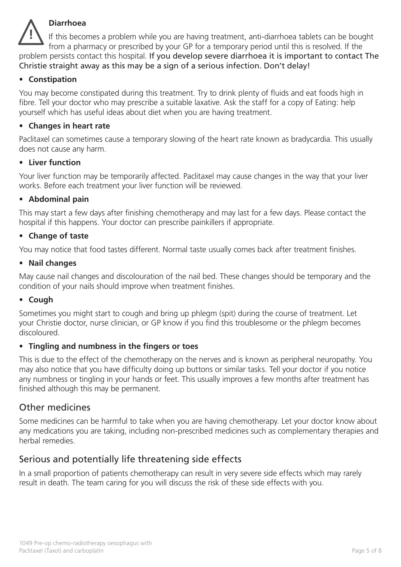## **Diarrhoea**

**!** If this becomes a problem while you are having treatment, anti-diarrhoea tablets can be bought from a pharmacy or prescribed by your GP for a temporary period until this is resolved. If the problem persists contact this hospital. If you develop severe diarrhoea it is important to contact The Christie straight away as this may be a sign of a serious infection. Don't delay!

#### • **Constipation**

You may become constipated during this treatment. Try to drink plenty of fluids and eat foods high in fibre. Tell your doctor who may prescribe a suitable laxative. Ask the staff for a copy of Eating: help yourself which has useful ideas about diet when you are having treatment.

#### • **Changes in heart rate**

Paclitaxel can sometimes cause a temporary slowing of the heart rate known as bradycardia. This usually does not cause any harm.

#### • **Liver function**

Your liver function may be temporarily affected. Paclitaxel may cause changes in the way that your liver works. Before each treatment your liver function will be reviewed.

#### • **Abdominal pain**

This may start a few days after finishing chemotherapy and may last for a few days. Please contact the hospital if this happens. Your doctor can prescribe painkillers if appropriate.

#### • **Change of taste**

You may notice that food tastes different. Normal taste usually comes back after treatment finishes.

#### • **Nail changes**

May cause nail changes and discolouration of the nail bed. These changes should be temporary and the condition of your nails should improve when treatment finishes.

#### • **Cough**

Sometimes you might start to cough and bring up phlegm (spit) during the course of treatment. Let your Christie doctor, nurse clinician, or GP know if you find this troublesome or the phlegm becomes discoloured.

#### • **Tingling and numbness in the fingers or toes**

This is due to the effect of the chemotherapy on the nerves and is known as peripheral neuropathy. You may also notice that you have difficulty doing up buttons or similar tasks. Tell your doctor if you notice any numbness or tingling in your hands or feet. This usually improves a few months after treatment has finished although this may be permanent.

## Other medicines

Some medicines can be harmful to take when you are having chemotherapy. Let your doctor know about any medications you are taking, including non-prescribed medicines such as complementary therapies and herbal remedies.

# Serious and potentially life threatening side effects

In a small proportion of patients chemotherapy can result in very severe side effects which may rarely result in death. The team caring for you will discuss the risk of these side effects with you.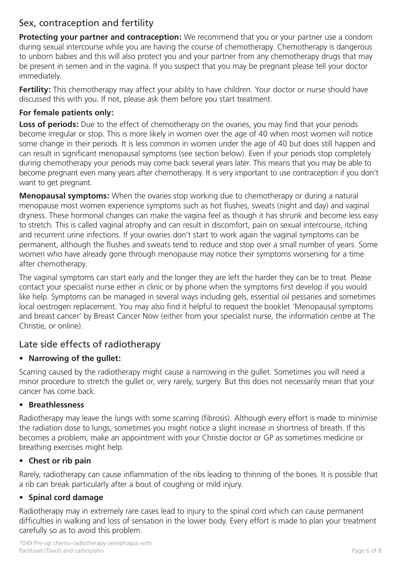# Sex, contraception and fertility

**Protecting your partner and contraception:** We recommend that you or your partner use a condom during sexual intercourse while you are having the course of chemotherapy. Chemotherapy is dangerous to unborn babies and this will also protect you and your partner from any chemotherapy drugs that may be present in semen and in the vagina. If you suspect that you may be pregnant please tell your doctor immediately.

Fertility: This chemotherapy may affect your ability to have children. Your doctor or nurse should have discussed this with you. If not, please ask them before you start treatment.

#### **For female patients only:**

**Loss of periods:** Due to the effect of chemotherapy on the ovaries, you may find that your periods become irregular or stop. This is more likely in women over the age of 40 when most women will notice some change in their periods. It is less common in women under the age of 40 but does still happen and can result in significant menopausal symptoms (see section below). Even if your periods stop completely during chemotherapy your periods may come back several years later. This means that you may be able to become pregnant even many years after chemotherapy. It is very important to use contraception if you don't want to get pregnant.

**Menopausal symptoms:** When the ovaries stop working due to chemotherapy or during a natural menopause most women experience symptoms such as hot flushes, sweats (night and day) and vaginal dryness. These hormonal changes can make the vagina feel as though it has shrunk and become less easy to stretch. This is called vaginal atrophy and can result in discomfort, pain on sexual intercourse, itching and recurrent urine infections. If your ovaries don't start to work again the vaginal symptoms can be permanent, although the flushes and sweats tend to reduce and stop over a small number of years. Some women who have already gone through menopause may notice their symptoms worsening for a time after chemotherapy.

The vaginal symptoms can start early and the longer they are left the harder they can be to treat. Please contact your specialist nurse either in clinic or by phone when the symptoms first develop if you would like help. Symptoms can be managed in several ways including gels, essential oil pessaries and sometimes local oestrogen replacement. You may also find it helpful to request the booklet 'Menopausal symptoms and breast cancer' by Breast Cancer Now (either from your specialist nurse, the information centre at The Christie, or online).

# Late side effects of radiotherapy

## • **Narrowing of the gullet:**

Scarring caused by the radiotherapy might cause a narrowing in the gullet. Sometimes you will need a minor procedure to stretch the gullet or, very rarely, surgery. But this does not necessarily mean that your cancer has come back.

#### • **Breathlessness**

Radiotherapy may leave the lungs with some scarring (fibrosis). Although every effort is made to minimise the radiation dose to lungs, sometimes you might notice a slight increase in shortness of breath. If this becomes a problem, make an appointment with your Christie doctor or GP as sometimes medicine or breathing exercises might help.

#### • **Chest or rib pain**

Rarely, radiotherapy can cause inflammation of the ribs leading to thinning of the bones. It is possible that a rib can break particularly after a bout of coughing or mild injury.

## • **Spinal cord damage**

Radiotherapy may in extremely rare cases lead to injury to the spinal cord which can cause permanent difficulties in walking and loss of sensation in the lower body. Every effort is made to plan your treatment carefully so as to avoid this problem.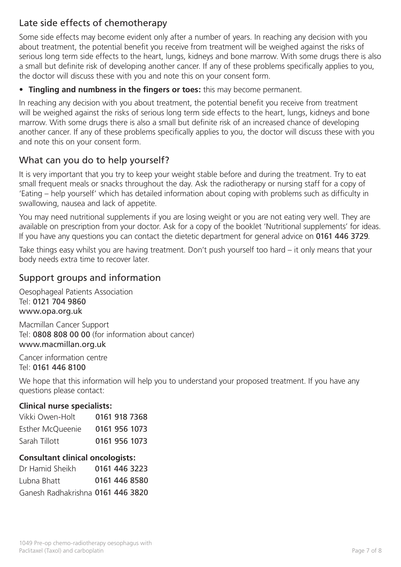# Late side effects of chemotherapy

Some side effects may become evident only after a number of years. In reaching any decision with you about treatment, the potential benefit you receive from treatment will be weighed against the risks of serious long term side effects to the heart, lungs, kidneys and bone marrow. With some drugs there is also a small but definite risk of developing another cancer. If any of these problems specifically applies to you, the doctor will discuss these with you and note this on your consent form.

#### • **Tingling and numbness in the fingers or toes:** this may become permanent.

In reaching any decision with you about treatment, the potential benefit you receive from treatment will be weighed against the risks of serious long term side effects to the heart, lungs, kidneys and bone marrow. With some drugs there is also a small but definite risk of an increased chance of developing another cancer. If any of these problems specifically applies to you, the doctor will discuss these with you and note this on your consent form.

# What can you do to help yourself?

It is very important that you try to keep your weight stable before and during the treatment. Try to eat small frequent meals or snacks throughout the day. Ask the radiotherapy or nursing staff for a copy of 'Eating – help yourself' which has detailed information about coping with problems such as difficulty in swallowing, nausea and lack of appetite.

You may need nutritional supplements if you are losing weight or you are not eating very well. They are available on prescription from your doctor. Ask for a copy of the booklet 'Nutritional supplements' for ideas. If you have any questions you can contact the dietetic department for general advice on 0161 446 3729.

Take things easy whilst you are having treatment. Don't push yourself too hard – it only means that your body needs extra time to recover later.

# Support groups and information

Oesophageal Patients Association Tel: 0121 704 9860 www.opa.org.uk

Macmillan Cancer Support Tel: 0808 808 00 00 (for information about cancer) www.macmillan.org.uk

Cancer information centre Tel: 0161 446 8100

We hope that this information will help you to understand your proposed treatment. If you have any questions please contact:

#### **Clinical nurse specialists:**

| Vikki Owen-Holt         | 0161 918 7368 |
|-------------------------|---------------|
| <b>Esther McQueenie</b> | 0161 956 1073 |
| Sarah Tillott           | 0161 956 1073 |

## **Consultant clinical oncologists:**

| Dr Hamid Sheikh                   |  | 0161 446 3223 |
|-----------------------------------|--|---------------|
| Lubna Bhatt                       |  | 0161 446 8580 |
| Ganesh Radhakrishna 0161 446 3820 |  |               |